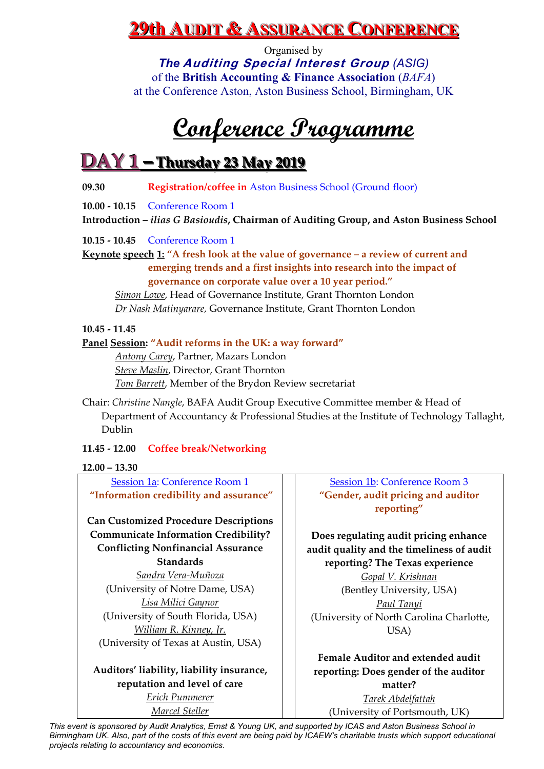Organised by *The* **Auditing Special Interest Group** *(ASIG)* of the **British Accounting & Finance Association** (*BAFA*) at the Conference Aston, Aston Business School, Birmingham, UK

# **Conference Programme**

### **DAY 1 – Thursday 23 May 2019**

**09.30 Registration/coffee in** Aston Business School (Ground floor)

**10.00 ‐ 10.15**  Conference Room 1

**Introduction –** *ilias G Basioudis***, Chairman of Auditing Group, and Aston Business School**

**10.15 ‐ 10.45**  Conference Room 1

**Keynote speech 1: "A fresh look at the value of governance – a review of current and emerging trends and a first insights into research into the impact of governance on corporate value over a 10 year period."**

*Simon Lowe*, Head of Governance Institute, Grant Thornton London *Dr Nash Matinyarare*, Governance Institute, Grant Thornton London

#### **10.45 ‐ 11.45**

**Panel Session: "Audit reforms in the UK: a way forward"**

*Antony Carey*, Partner, Mazars London *Steve Maslin*, Director, Grant Thornton *Tom Barrett*, Member of the Brydon Review secretariat

Chair: *Christine Nangle*, BAFA Audit Group Executive Committee member & Head of Department of Accountancy & Professional Studies at the Institute of Technology Tallaght, Dublin

#### **11.45 ‐ 12.00 Coffee break/Networking**

#### **12.00 – 13.30**

Session 1a: Conference Room 1 **"Information credibility and assurance"**

**Can Customized Procedure Descriptions Communicate Information Credibility? Conflicting Nonfinancial Assurance Standards**

*Sandra Vera‐Muñoza* (University of Notre Dame, USA) *Lisa Milici Gaynor* (University of South Florida, USA) *William R. Kinney, Jr.* (University of Texas at Austin, USA)

### **Auditors' liability, liability insurance, reputation and level of care**

*Erich Pummerer Marcel Steller*

Session 1b: Conference Room 3 **"Gender, audit pricing and auditor reporting"**

**Does regulating audit pricing enhance audit quality and the timeliness of audit reporting? The Texas experience** *Gopal V. Krishnan* (Bentley University, USA) *Paul Tanyi* (University of North Carolina Charlotte, USA)

**Female Auditor and extended audit reporting: Does gender of the auditor matter?** *Tarek Abdelfattah*

(University of Portsmouth, UK)

*This event is sponsored by Audit Analytics, Ernst & Young UK, and supported by ICAS and Aston Business School in Birmingham UK. Also, part of the costs of this event are being paid by ICAEW's charitable trusts which support educational projects relating to accountancy and economics.*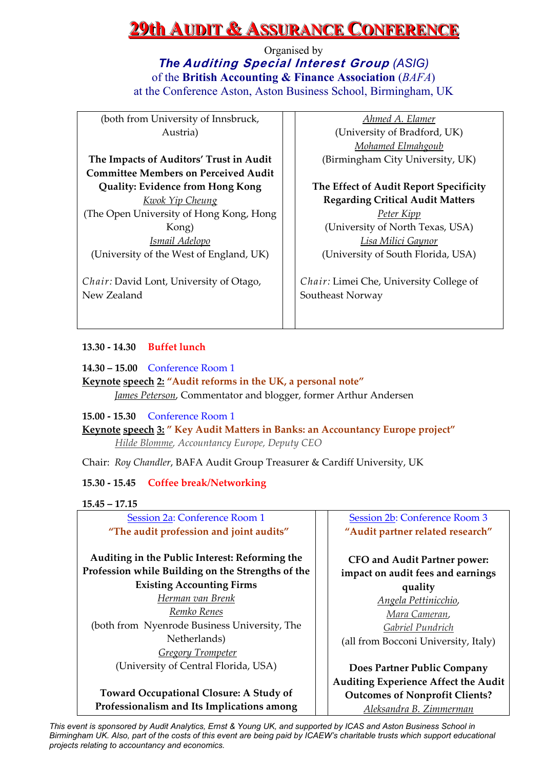Organised by *The* **Auditing Special Interest Group** *(ASIG)* of the **British Accounting & Finance Association** (*BAFA*) at the Conference Aston, Aston Business School, Birmingham, UK

(both from University of Innsbruck, Austria)

**The Impacts of Auditors' Trust in Audit Committee Members on Perceived Audit Quality: Evidence from Hong Kong** *Kwok Yip Cheung* (The Open University of Hong Kong, Hong Kong) *Ismail Adelopo*

(University of the West of England, UK) *Chair:* David Lont, University of Otago,

New Zealand

*Ahmed A. Elamer* (University of Bradford, UK) *Mohamed Elmahgoub* (Birmingham City University, UK)

**The Effect of Audit Report Specificity Regarding Critical Audit Matters** *Peter Kipp* (University of North Texas, USA) *Lisa Milici Gaynor* (University of South Florida, USA)

*Chair:* Limei Che, University College of Southeast Norway

#### **13.30 ‐ 14.30 Buffet lunch**

**14.30 – 15.00** Conference Room 1

**Keynote speech 2: "Audit reforms in the UK, a personal note"** *James Peterson*, Commentator and blogger, former Arthur Andersen

**15.00 ‐ 15.30**  Conference Room 1

**Keynote speech 3: " Key Audit Matters in Banks: an Accountancy Europe project"** *Hilde Blomme, Accountancy Europe, Deputy CEO*

Chair: *Roy Chandler*, BAFA Audit Group Treasurer & Cardiff University, UK

**15.30 ‐ 15.45 Coffee break/Networking**

#### **15.45 – 17.15**

Session 2a: Conference Room 1 **"The audit profession and joint audits"**

**Auditing in the Public Interest: Reforming the Profession while Building on the Strengths of the Existing Accounting Firms**

*Herman van Brenk Remko Renes* (both from Nyenrode Business University, The Netherlands) *Gregory Trompeter*  (University of Central Florida, USA)

**Toward Occupational Closure: A Study of Professionalism and Its Implications among**

Session 2b: Conference Room 3 **"Audit partner related research"**

**CFO and Audit Partner power: impact on audit fees and earnings quality** *Angela Pettinicchio*, *Mara Cameran*,

*Gabriel Pundrich* (all from Bocconi University, Italy)

**Does Partner Public Company Auditing Experience Affect the Audit Outcomes of Nonprofit Clients?** *Aleksandra B. Zimmerman*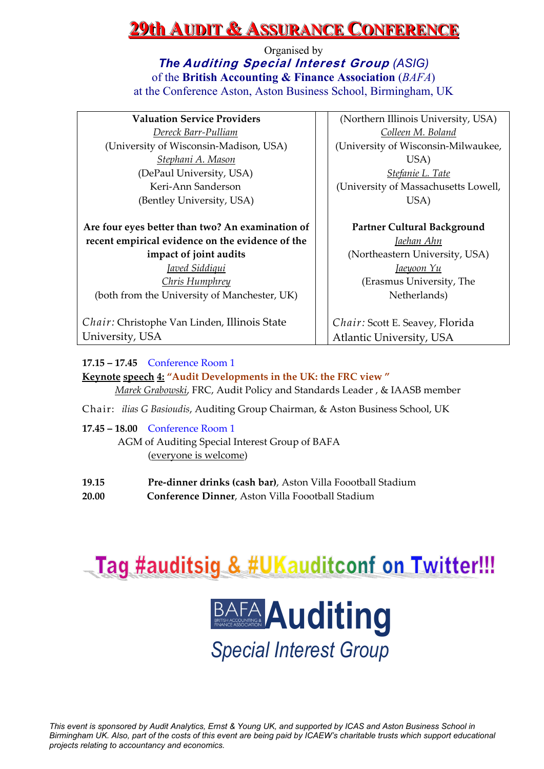Organised by *The* **Auditing Special Interest Group** *(ASIG)* of the **British Accounting & Finance Association** (*BAFA*) at the Conference Aston, Aston Business School, Birmingham, UK

| <b>Valuation Service Providers</b>               | (Northern Illinois University, USA)    |
|--------------------------------------------------|----------------------------------------|
| Dereck Barr-Pulliam                              | Colleen M. Boland                      |
| (University of Wisconsin-Madison, USA)           | (University of Wisconsin-Milwaukee,    |
| <u>Stephani A. Mason</u>                         | USA)                                   |
| (DePaul University, USA)                         | Stefanie L. Tate                       |
| Keri-Ann Sanderson                               | (University of Massachusetts Lowell,   |
| (Bentley University, USA)                        | USA)                                   |
| Are four eyes better than two? An examination of | <b>Partner Cultural Background</b>     |
| recent empirical evidence on the evidence of the | Jaehan Ahn                             |
| impact of joint audits                           | (Northeastern University, USA)         |
| <u>Iaved Siddiqui</u>                            | <u>Jaeyoon Yu</u>                      |
| <b>Chris Humphrey</b>                            | (Erasmus University, The               |
| (both from the University of Manchester, UK)     | Netherlands)                           |
| Chair: Christophe Van Linden, Illinois State     | <i>Chair:</i> Scott E. Seavey, Florida |
| University, USA                                  | Atlantic University, USA               |
|                                                  |                                        |

#### **17.15 – 17.45** Conference Room 1

**Keynote speech 4: "Audit Developments in the UK: the FRC view "** *Marek Grabowski*, FRC, Audit Policy and Standards Leader , & IAASB member

- Chair: *ilias G Basioudis*, Auditing Group Chairman, & Aston Business School, UK
- **17.45 – 18.00**  Conference Room 1 AGM of Auditing Special Interest Group of BAFA (everyone is welcome)
- **19.15 Pre‐dinner drinks (cash bar)**, Aston Villa Foootball Stadium **20.00 Conference Dinner**, Aston Villa Foootball Stadium



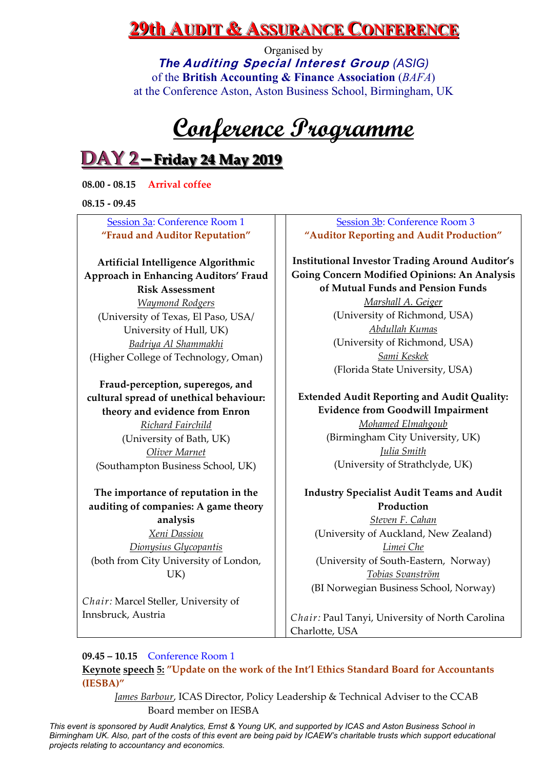Organised by *The* **Auditing Special Interest Group** *(ASIG)* of the **British Accounting & Finance Association** (*BAFA*) at the Conference Aston, Aston Business School, Birmingham, UK

# **Conference Programme**

### **DAY 2–Friday 24 May 2019**

**08.00 ‐ 08.15 Arrival coffee** 

**08.15 ‐ 09.45** 

#### Session 3a: Conference Room 1 **"Fraud and Auditor Reputation"**

**Artificial Intelligence Algorithmic Approach in Enhancing Auditors' Fraud Risk Assessment** *Waymond Rodgers* (University of Texas, El Paso, USA/ University of Hull, UK) *Badriya Al Shammakhi* (Higher College of Technology, Oman)

**Fraud‐perception, superegos, and cultural spread of unethical behaviour: theory and evidence from Enron**

*Richard Fairchild*  (University of Bath, UK) *Oliver Marnet* (Southampton Business School, UK)

#### **The importance of reputation in the auditing of companies: A game theory analysis**

*Xeni Dassiou Dionysius Glycopantis* (both from City University of London, UK)

*Chair:* Marcel Steller, University of Innsbruck, Austria

#### Session 3b: Conference Room 3 **"Auditor Reporting and Audit Production"**

**Institutional Investor Trading Around Auditor's Going Concern Modified Opinions: An Analysis of Mutual Funds and Pension Funds** *Marshall A. Geiger* (University of Richmond, USA) *Abdullah Kumas* (University of Richmond, USA) *Sami Keskek* (Florida State University, USA)

### **Extended Audit Reporting and Audit Quality: Evidence from Goodwill Impairment**

*Mohamed Elmahgoub* (Birmingham City University, UK) *Julia Smith* (University of Strathclyde, UK)

### **Industry Specialist Audit Teams and Audit Production**

*Steven F. Cahan* (University of Auckland, New Zealand) *Limei Che* (University of South‐Eastern, Norway) *Tobias Svanström* (BI Norwegian Business School, Norway)

*Chair:* Paul Tanyi, University of North Carolina Charlotte, USA

### **09.45 – 10.15**  Conference Room 1

**Keynote speech 5: "Update on the work of the Int'l Ethics Standard Board for Accountants (IESBA)"**

*James Barbour*, ICAS Director, Policy Leadership & Technical Adviser to the CCAB Board member on IESBA

*This event is sponsored by Audit Analytics, Ernst & Young UK, and supported by ICAS and Aston Business School in Birmingham UK. Also, part of the costs of this event are being paid by ICAEW's charitable trusts which support educational projects relating to accountancy and economics.*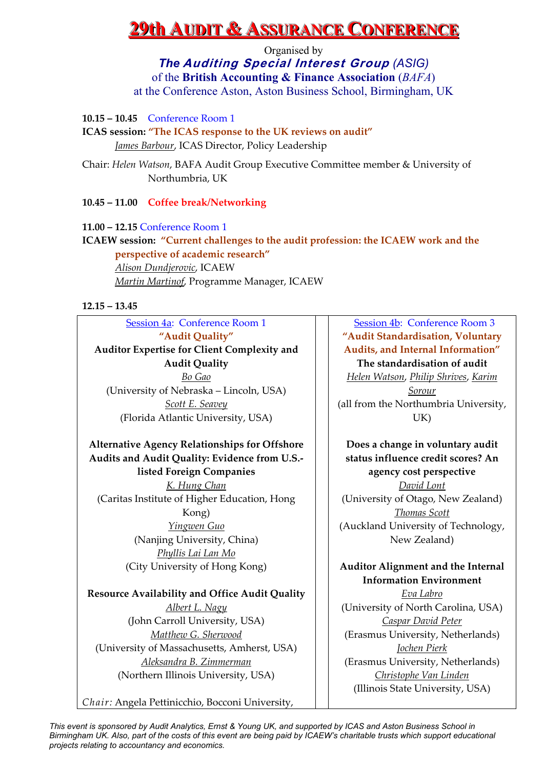Organised by *The* **Auditing Special Interest Group** *(ASIG)* of the **British Accounting & Finance Association** (*BAFA*) at the Conference Aston, Aston Business School, Birmingham, UK

**10.15 – 10.45** Conference Room 1

**ICAS session: "The ICAS response to the UK reviews on audit"** *James Barbour*, ICAS Director, Policy Leadership

Chair: *Helen Watson*, BAFA Audit Group Executive Committee member & University of Northumbria, UK

#### **10.45 – 11.00 Coffee break/Networking**

**11.00 – 12.15** Conference Room 1

**ICAEW session: "Current challenges to the audit profession: the ICAEW work and the perspective of academic research"** *Alison Dundjerovic*, ICAEW *Martin Martinof*, Programme Manager, ICAEW

#### **12.15 – 13.45**

Session 4a: Conference Room 1 **"Audit Quality" Auditor Expertise for Client Complexity and Audit Quality** *Bo Gao* (University of Nebraska – Lincoln, USA) *Scott E. Seavey* (Florida Atlantic University, USA)

### **Alternative Agency Relationships for Offshore Audits and Audit Quality: Evidence from U.S.‐ listed Foreign Companies**

*K. Hung Chan* (Caritas Institute of Higher Education, Hong Kong) *Yingwen Guo* (Nanjing University, China) *Phyllis Lai Lan Mo* (City University of Hong Kong)

**Resource Availability and Office Audit Quality** *Albert L. Nagy* (John Carroll University, USA) *Matthew G. Sherwood* (University of Massachusetts, Amherst, USA) *Aleksandra B. Zimmerman* (Northern Illinois University, USA)

*Chair:* Angela Pettinicchio, Bocconi University,

Session 4b: Conference Room 3 **"Audit Standardisation, Voluntary Audits, and Internal Information" The standardisation of audit** *Helen Watson*, *Philip Shrives*, *Karim Sorour* (all from the Northumbria University, UK)

**Does a change in voluntary audit status influence credit scores? An agency cost perspective** *David Lont* (University of Otago, New Zealand) *Thomas Scott* (Auckland University of Technology, New Zealand)

#### **Auditor Alignment and the Internal Information Environment**

*Eva Labro* (University of North Carolina, USA) *Caspar David Peter* (Erasmus University, Netherlands) *Jochen Pierk* (Erasmus University, Netherlands) *Christophe Van Linden* (Illinois State University, USA)